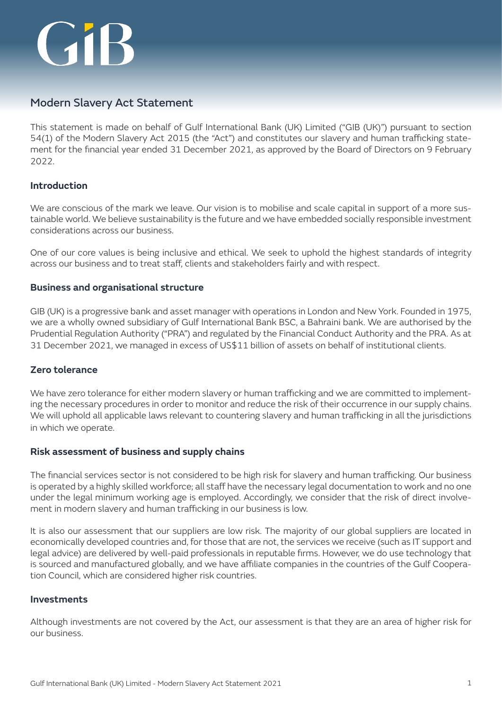# **GIB**

# Modern Slavery Act Statement

This statement is made on behalf of Gulf International Bank (UK) Limited ("GIB (UK)") pursuant to section 54(1) of the Modern Slavery Act 2015 (the "Act") and constitutes our slavery and human trafficking statement for the financial year ended 31 December 2021, as approved by the Board of Directors on 9 February 2022.

# **Introduction**

We are conscious of the mark we leave. Our vision is to mobilise and scale capital in support of a more sustainable world. We believe sustainability is the future and we have embedded socially responsible investment considerations across our business.

One of our core values is being inclusive and ethical. We seek to uphold the highest standards of integrity across our business and to treat staff, clients and stakeholders fairly and with respect.

### **Business and organisational structure**

GIB (UK) is a progressive bank and asset manager with operations in London and New York. Founded in 1975, we are a wholly owned subsidiary of Gulf International Bank BSC, a Bahraini bank. We are authorised by the Prudential Regulation Authority ("PRA") and regulated by the Financial Conduct Authority and the PRA. As at 31 December 2021, we managed in excess of US\$11 billion of assets on behalf of institutional clients.

# **Zero tolerance**

We have zero tolerance for either modern slavery or human trafficking and we are committed to implementing the necessary procedures in order to monitor and reduce the risk of their occurrence in our supply chains. We will uphold all applicable laws relevant to countering slavery and human trafficking in all the jurisdictions in which we operate.

#### **Risk assessment of business and supply chains**

The financial services sector is not considered to be high risk for slavery and human trafficking. Our business is operated by a highly skilled workforce; all staff have the necessary legal documentation to work and no one under the legal minimum working age is employed. Accordingly, we consider that the risk of direct involvement in modern slavery and human trafficking in our business is low.

It is also our assessment that our suppliers are low risk. The majority of our global suppliers are located in economically developed countries and, for those that are not, the services we receive (such as IT support and legal advice) are delivered by well-paid professionals in reputable firms. However, we do use technology that is sourced and manufactured globally, and we have affiliate companies in the countries of the Gulf Cooperation Council, which are considered higher risk countries.

#### **Investments**

Although investments are not covered by the Act, our assessment is that they are an area of higher risk for our business.